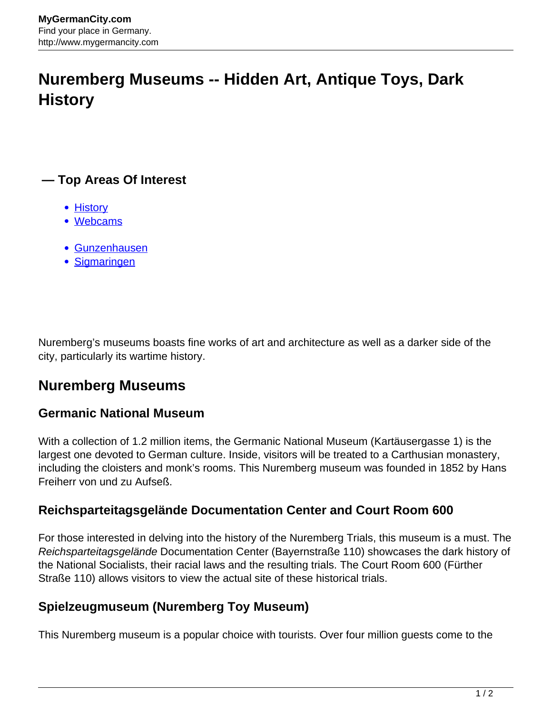# **Nuremberg Museums -- Hidden Art, Antique Toys, Dark History**

## **— Top Areas Of Interest**

- **[History](http://www.mygermancity.com/leipzig-history)**
- [Webcams](http://www.mygermancity.com/neustadt-holstein-webcams)
- [Gunzenhausen](http://www.mygermancity.com/gunzenhausen)
- [Sigmaringen](http://www.mygermancity.com/sigmaringen)

Nuremberg's museums boasts fine works of art and architecture as well as a darker side of the city, particularly its wartime history.

## **Nuremberg Museums**

#### **Germanic National Museum**

With a collection of 1.2 million items, the Germanic National Museum (Kartäusergasse 1) is the largest one devoted to German culture. Inside, visitors will be treated to a Carthusian monastery, including the cloisters and monk's rooms. This Nuremberg museum was founded in 1852 by Hans Freiherr von und zu Aufseß.

#### **Reichsparteitagsgelände Documentation Center and Court Room 600**

For those interested in delving into the history of the Nuremberg Trials, this museum is a must. The Reichsparteitagsgelände Documentation Center (Bayernstraße 110) showcases the dark history of the National Socialists, their racial laws and the resulting trials. The Court Room 600 (Fürther Straße 110) allows visitors to view the actual site of these historical trials.

### **Spielzeugmuseum (Nuremberg Toy Museum)**

This Nuremberg museum is a popular choice with tourists. Over four million guests come to the